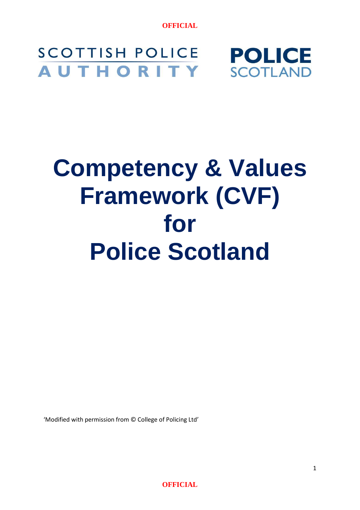#### **SCOTTISH POLICE POLICE AUTHORITY SCOTLAND**

# **Competency & Values Framework (CVF) for Police Scotland**

'Modified with permission from © College of Policing Ltd'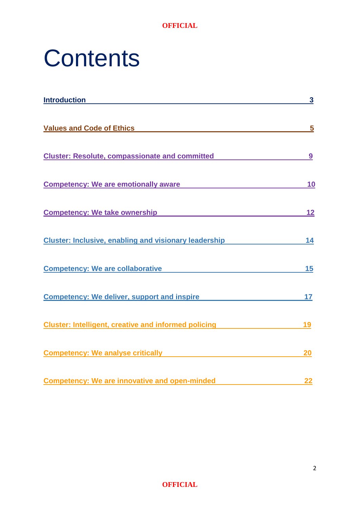

# **Contents**

| <b>Introduction</b>                                                 | 3  |
|---------------------------------------------------------------------|----|
| <b>Values and Code of Ethics</b>                                    | 5  |
| <b>Cluster: Resolute, compassionate and committed</b>               | 9  |
| <b>Competency: We are emotionally aware</b>                         | 10 |
| Competency: We take ownership <b>Competency</b> : We take ownership | 12 |
| <b>Cluster: Inclusive, enabling and visionary leadership</b>        | 14 |
| <b>Competency: We are collaborative</b>                             | 15 |
| <b>Competency: We deliver, support and inspire</b>                  | 17 |
| <b>Cluster: Intelligent, creative and informed policing</b>         | 19 |
| <b>Competency: We analyse critically</b>                            | 20 |
| <b>Competency: We are innovative and open-minded</b>                | 22 |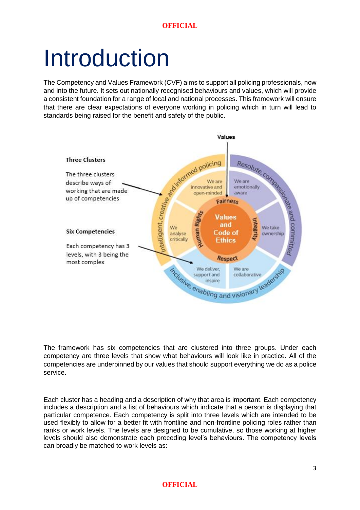# Introduction

The Competency and Values Framework (CVF) aims to support all policing professionals, now and into the future. It sets out nationally recognised behaviours and values, which will provide a consistent foundation for a range of local and national processes. This framework will ensure that there are clear expectations of everyone working in policing which in turn will lead to standards being raised for the benefit and safety of the public.



The framework has six competencies that are clustered into three groups. Under each competency are three levels that show what behaviours will look like in practice. All of the competencies are underpinned by our values that should support everything we do as a police service.

Each cluster has a heading and a description of why that area is important. Each competency includes a description and a list of behaviours which indicate that a person is displaying that particular competence. Each competency is split into three levels which are intended to be used flexibly to allow for a better fit with frontline and non-frontline policing roles rather than ranks or work levels. The levels are designed to be cumulative, so those working at higher levels should also demonstrate each preceding level's behaviours. The competency levels can broadly be matched to work levels as: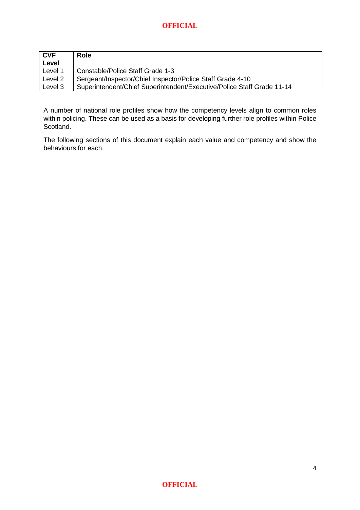| <b>CVF</b> | Role                                                                   |
|------------|------------------------------------------------------------------------|
| Level      |                                                                        |
| Level 1    | Constable/Police Staff Grade 1-3                                       |
| Level 2    | Sergeant/Inspector/Chief Inspector/Police Staff Grade 4-10             |
| Level 3    | Superintendent/Chief Superintendent/Executive/Police Staff Grade 11-14 |

A number of national role profiles show how the competency levels align to common roles within policing. These can be used as a basis for developing further role profiles within Police Scotland.

The following sections of this document explain each value and competency and show the behaviours for each.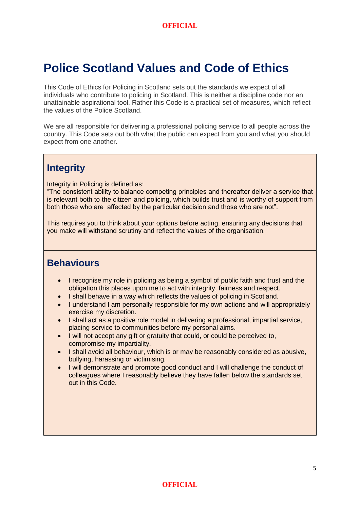### **Police Scotland Values and Code of Ethics**

This Code of Ethics for Policing in Scotland sets out the standards we expect of all individuals who contribute to policing in Scotland. This is neither a discipline code nor an unattainable aspirational tool. Rather this Code is a practical set of measures, which reflect the values of the Police Scotland.

We are all responsible for delivering a professional policing service to all people across the country. This Code sets out both what the public can expect from you and what you should expect from one another.

### **Integrity**

Integrity in Policing is defined as:

"The consistent ability to balance competing principles and thereafter deliver a service that is relevant both to the citizen and policing, which builds trust and is worthy of support from both those who are affected by the particular decision and those who are not".

This requires you to think about your options before acting, ensuring any decisions that you make will withstand scrutiny and reflect the values of the organisation.

- I recognise my role in policing as being a symbol of public faith and trust and the obligation this places upon me to act with integrity, fairness and respect.
- I shall behave in a way which reflects the values of policing in Scotland.
- I understand I am personally responsible for my own actions and will appropriately exercise my discretion.
- I shall act as a positive role model in delivering a professional, impartial service, placing service to communities before my personal aims.
- I will not accept any gift or gratuity that could, or could be perceived to, compromise my impartiality.
- I shall avoid all behaviour, which is or may be reasonably considered as abusive, bullying, harassing or victimising.
- I will demonstrate and promote good conduct and I will challenge the conduct of colleagues where I reasonably believe they have fallen below the standards set out in this Code.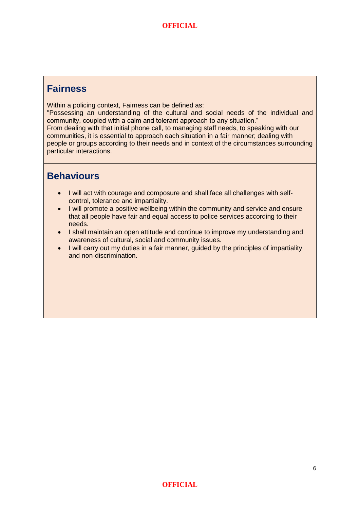#### **Fairness**

Within a policing context, Fairness can be defined as:

"Possessing an understanding of the cultural and social needs of the individual and community, coupled with a calm and tolerant approach to any situation." From dealing with that initial phone call, to managing staff needs, to speaking with our communities, it is essential to approach each situation in a fair manner; dealing with people or groups according to their needs and in context of the circumstances surrounding particular interactions.

- I will act with courage and composure and shall face all challenges with selfcontrol, tolerance and impartiality.
- I will promote a positive wellbeing within the community and service and ensure that all people have fair and equal access to police services according to their needs.
- I shall maintain an open attitude and continue to improve my understanding and awareness of cultural, social and community issues.
- I will carry out my duties in a fair manner, guided by the principles of impartiality and non-discrimination.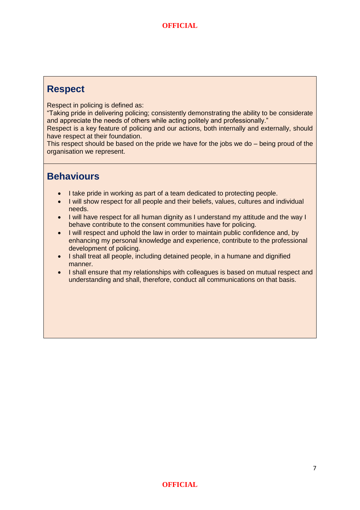#### **Respect**

Respect in policing is defined as:

"Taking pride in delivering policing; consistently demonstrating the ability to be considerate and appreciate the needs of others while acting politely and professionally."

Respect is a key feature of policing and our actions, both internally and externally, should have respect at their foundation.

This respect should be based on the pride we have for the jobs we do – being proud of the organisation we represent.

- I take pride in working as part of a team dedicated to protecting people.
- I will show respect for all people and their beliefs, values, cultures and individual needs.
- I will have respect for all human dignity as I understand my attitude and the way I behave contribute to the consent communities have for policing.
- I will respect and uphold the law in order to maintain public confidence and, by enhancing my personal knowledge and experience, contribute to the professional development of policing.
- I shall treat all people, including detained people, in a humane and dignified manner.
- I shall ensure that my relationships with colleagues is based on mutual respect and understanding and shall, therefore, conduct all communications on that basis.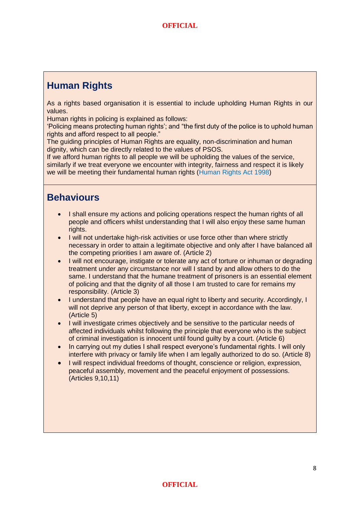### **Human Rights**

As a rights based organisation it is essential to include upholding Human Rights in our values.

Human rights in policing is explained as follows:

'Policing means protecting human rights'; and "the first duty of the police is to uphold human rights and afford respect to all people."

The guiding principles of Human Rights are equality, non-discrimination and human dignity, which can be directly related to the values of PSOS.

If we afford human rights to all people we will be upholding the values of the service, similarly if we treat everyone we encounter with integrity, fairness and respect it is likely we will be meeting their fundamental human rights [\(Human Rights Act 1998\)](http://www.legislation.gov.uk/ukpga/1998/42/schedule/1)

- I shall ensure my actions and policing operations respect the human rights of all people and officers whilst understanding that I will also enjoy these same human rights.
- I will not undertake high-risk activities or use force other than where strictly necessary in order to attain a legitimate objective and only after I have balanced all the competing priorities I am aware of. (Article 2)
- I will not encourage, instigate or tolerate any act of torture or inhuman or degrading treatment under any circumstance nor will I stand by and allow others to do the same. I understand that the humane treatment of prisoners is an essential element of policing and that the dignity of all those I am trusted to care for remains my responsibility. (Article 3)
- I understand that people have an equal right to liberty and security. Accordingly, I will not deprive any person of that liberty, except in accordance with the law. (Article 5)
- I will investigate crimes objectively and be sensitive to the particular needs of affected individuals whilst following the principle that everyone who is the subject of criminal investigation is innocent until found guilty by a court. (Article 6)
- In carrying out my duties I shall respect everyone's fundamental rights. I will only interfere with privacy or family life when I am legally authorized to do so. (Article 8)
- I will respect individual freedoms of thought, conscience or religion, expression, peaceful assembly, movement and the peaceful enjoyment of possessions. (Articles 9,10,11)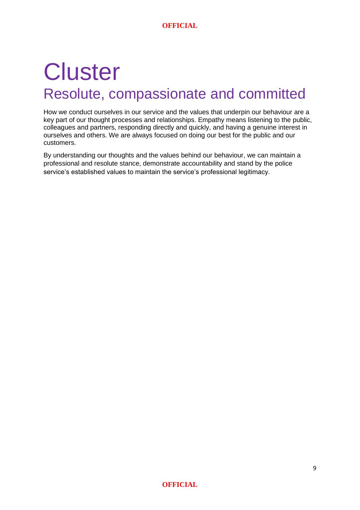## **Cluster** Resolute, compassionate and committed

How we conduct ourselves in our service and the values that underpin our behaviour are a key part of our thought processes and relationships. Empathy means listening to the public, colleagues and partners, responding directly and quickly, and having a genuine interest in ourselves and others. We are always focused on doing our best for the public and our customers.

By understanding our thoughts and the values behind our behaviour, we can maintain a professional and resolute stance, demonstrate accountability and stand by the police service's established values to maintain the service's professional legitimacy.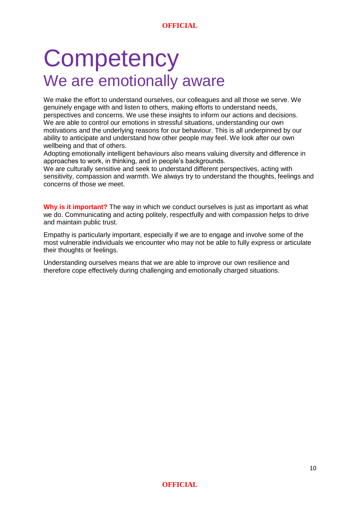## **Competency** We are emotionally aware

We make the effort to understand ourselves, our colleagues and all those we serve. We genuinely engage with and listen to others, making efforts to understand needs, perspectives and concerns. We use these insights to inform our actions and decisions. We are able to control our emotions in stressful situations, understanding our own motivations and the underlying reasons for our behaviour. This is all underpinned by our ability to anticipate and understand how other people may feel. We look after our own wellbeing and that of others.

Adopting emotionally intelligent behaviours also means valuing diversity and difference in approaches to work, in thinking, and in people's backgrounds.

We are culturally sensitive and seek to understand different perspectives, acting with sensitivity, compassion and warmth. We always try to understand the thoughts, feelings and concerns of those we meet.

**Why is it important?** The way in which we conduct ourselves is just as important as what we do. Communicating and acting politely, respectfully and with compassion helps to drive and maintain public trust.

Empathy is particularly important, especially if we are to engage and involve some of the most vulnerable individuals we encounter who may not be able to fully express or articulate their thoughts or feelings.

Understanding ourselves means that we are able to improve our own resilience and therefore cope effectively during challenging and emotionally charged situations.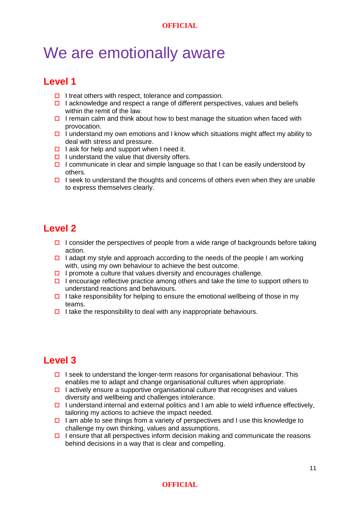### We are emotionally aware

### **Level 1**

- $\Box$  I treat others with respect, tolerance and compassion.
- I acknowledge and respect a range of different perspectives, values and beliefs within the remit of the law
- $\Box$  I remain calm and think about how to best manage the situation when faced with provocation.
- $\Box$  I understand my own emotions and I know which situations might affect my ability to deal with stress and pressure.
- $\Box$  I ask for help and support when I need it.
- $\Box$  I understand the value that diversity offers.
- $\Box$  I communicate in clear and simple language so that I can be easily understood by others.
- $\Box$  I seek to understand the thoughts and concerns of others even when they are unable to express themselves clearly.

### **Level 2**

- I consider the perspectives of people from a wide range of backgrounds before taking action.
- I adapt my style and approach according to the needs of the people I am working with, using my own behaviour to achieve the best outcome.
- $\Box$  I promote a culture that values diversity and encourages challenge.
- $\Box$  I encourage reflective practice among others and take the time to support others to understand reactions and behaviours.
- I take responsibility for helping to ensure the emotional wellbeing of those in my teams.
- $\Box$  I take the responsibility to deal with any inappropriate behaviours.

### **Level 3**

- $\Box$  I seek to understand the longer-term reasons for organisational behaviour. This enables me to adapt and change organisational cultures when appropriate.
- $\Box$  I actively ensure a supportive organisational culture that recognises and values diversity and wellbeing and challenges intolerance.
- I understand internal and external politics and I am able to wield influence effectively. tailoring my actions to achieve the impact needed.
- $\Box$  I am able to see things from a variety of perspectives and I use this knowledge to challenge my own thinking, values and assumptions.
- $\Box$  I ensure that all perspectives inform decision making and communicate the reasons behind decisions in a way that is clear and compelling.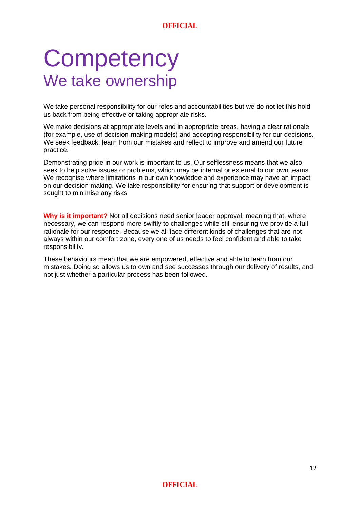## **Competency** We take ownership

We take personal responsibility for our roles and accountabilities but we do not let this hold us back from being effective or taking appropriate risks.

We make decisions at appropriate levels and in appropriate areas, having a clear rationale (for example, use of decision-making models) and accepting responsibility for our decisions. We seek feedback, learn from our mistakes and reflect to improve and amend our future practice.

Demonstrating pride in our work is important to us. Our selflessness means that we also seek to help solve issues or problems, which may be internal or external to our own teams. We recognise where limitations in our own knowledge and experience may have an impact on our decision making. We take responsibility for ensuring that support or development is sought to minimise any risks.

**Why is it important?** Not all decisions need senior leader approval, meaning that, where necessary, we can respond more swiftly to challenges while still ensuring we provide a full rationale for our response. Because we all face different kinds of challenges that are not always within our comfort zone, every one of us needs to feel confident and able to take responsibility.

These behaviours mean that we are empowered, effective and able to learn from our mistakes. Doing so allows us to own and see successes through our delivery of results, and not just whether a particular process has been followed.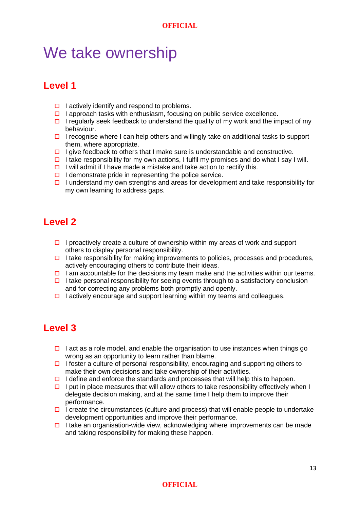### We take ownership

### **Level 1**

- $\Box$  I actively identify and respond to problems.
- $\Box$  I approach tasks with enthusiasm, focusing on public service excellence.
- $\Box$  I regularly seek feedback to understand the quality of my work and the impact of my behaviour.
- $\Box$  I recognise where I can help others and willingly take on additional tasks to support them, where appropriate.
- I give feedback to others that I make sure is understandable and constructive.
- I take responsibility for my own actions, I fulfil my promises and do what I say I will.
- $\Box$  I will admit if I have made a mistake and take action to rectify this.
- $\Box$  I demonstrate pride in representing the police service.
- $\Box$  I understand my own strengths and areas for development and take responsibility for my own learning to address gaps.

### **Level 2**

- I proactively create a culture of ownership within my areas of work and support others to display personal responsibility.
- $\Box$  I take responsibility for making improvements to policies, processes and procedures, actively encouraging others to contribute their ideas.
- I am accountable for the decisions my team make and the activities within our teams.
- $\Box$  I take personal responsibility for seeing events through to a satisfactory conclusion and for correcting any problems both promptly and openly.
- $\Box$  I actively encourage and support learning within my teams and colleagues.

### **Level 3**

- I act as a role model, and enable the organisation to use instances when things go wrong as an opportunity to learn rather than blame.
- I foster a culture of personal responsibility, encouraging and supporting others to make their own decisions and take ownership of their activities.
- I define and enforce the standards and processes that will help this to happen.
- $\Box$  I put in place measures that will allow others to take responsibility effectively when I delegate decision making, and at the same time I help them to improve their performance.
- $\Box$  I create the circumstances (culture and process) that will enable people to undertake development opportunities and improve their performance.
- I take an organisation-wide view, acknowledging where improvements can be made and taking responsibility for making these happen.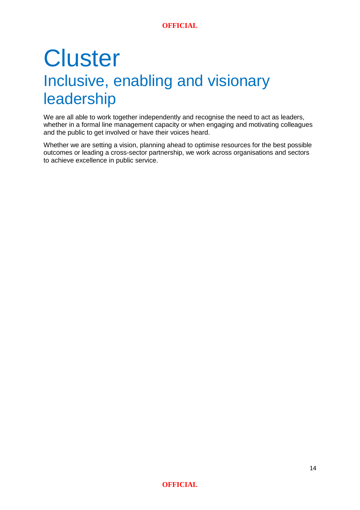## **Cluster** Inclusive, enabling and visionary leadership

We are all able to work together independently and recognise the need to act as leaders, whether in a formal line management capacity or when engaging and motivating colleagues and the public to get involved or have their voices heard.

Whether we are setting a vision, planning ahead to optimise resources for the best possible outcomes or leading a cross-sector partnership, we work across organisations and sectors to achieve excellence in public service.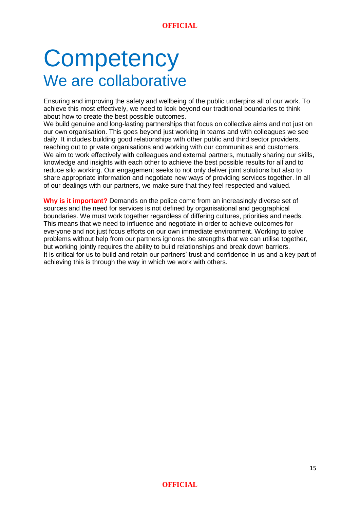## **Competency** We are collaborative

Ensuring and improving the safety and wellbeing of the public underpins all of our work. To achieve this most effectively, we need to look beyond our traditional boundaries to think about how to create the best possible outcomes.

We build genuine and long-lasting partnerships that focus on collective aims and not just on our own organisation. This goes beyond just working in teams and with colleagues we see daily. It includes building good relationships with other public and third sector providers, reaching out to private organisations and working with our communities and customers. We aim to work effectively with colleagues and external partners, mutually sharing our skills, knowledge and insights with each other to achieve the best possible results for all and to reduce silo working. Our engagement seeks to not only deliver joint solutions but also to share appropriate information and negotiate new ways of providing services together. In all of our dealings with our partners, we make sure that they feel respected and valued.

**Why is it important?** Demands on the police come from an increasingly diverse set of sources and the need for services is not defined by organisational and geographical boundaries. We must work together regardless of differing cultures, priorities and needs. This means that we need to influence and negotiate in order to achieve outcomes for everyone and not just focus efforts on our own immediate environment. Working to solve problems without help from our partners ignores the strengths that we can utilise together, but working jointly requires the ability to build relationships and break down barriers. It is critical for us to build and retain our partners' trust and confidence in us and a key part of achieving this is through the way in which we work with others.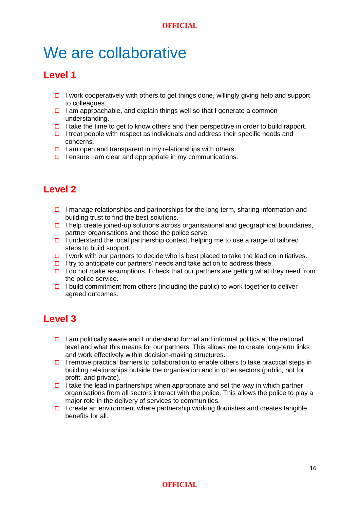### We are collaborative

### **Level 1**

- I work cooperatively with others to get things done, willingly giving help and support to colleagues.
- $\Box$  I am approachable, and explain things well so that I generate a common understanding.
- $\Box$  I take the time to get to know others and their perspective in order to build rapport.
- I treat people with respect as individuals and address their specific needs and concerns.
- $\Box$  I am open and transparent in my relationships with others.
- $\Box$  I ensure I am clear and appropriate in my communications.

### **Level 2**

- I manage relationships and partnerships for the long term, sharing information and building trust to find the best solutions.
- $\Box$  I help create joined-up solutions across organisational and geographical boundaries, partner organisations and those the police serve.
- $\Box$  I understand the local partnership context, helping me to use a range of tailored steps to build support.
- $\Box$  I work with our partners to decide who is best placed to take the lead on initiatives.
- $\Box$  I try to anticipate our partners' needs and take action to address these.
- $\Box$  I do not make assumptions. I check that our partners are getting what they need from the police service.
- $\Box$  I build commitment from others (including the public) to work together to deliver agreed outcomes.

### **Level 3**

- $\Box$  I am politically aware and I understand formal and informal politics at the national level and what this means for our partners. This allows me to create long-term links and work effectively within decision-making structures.
- $\Box$  I remove practical barriers to collaboration to enable others to take practical steps in building relationships outside the organisation and in other sectors (public, not for profit, and private).
- $\Box$  I take the lead in partnerships when appropriate and set the way in which partner organisations from all sectors interact with the police. This allows the police to play a major role in the delivery of services to communities.
- $\Box$  I create an environment where partnership working flourishes and creates tangible benefits for all.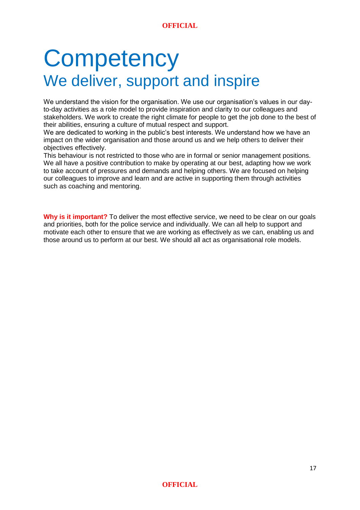## **Competency** We deliver, support and inspire

We understand the vision for the organisation. We use our organisation's values in our dayto-day activities as a role model to provide inspiration and clarity to our colleagues and stakeholders. We work to create the right climate for people to get the job done to the best of their abilities, ensuring a culture of mutual respect and support.

We are dedicated to working in the public's best interests. We understand how we have an impact on the wider organisation and those around us and we help others to deliver their objectives effectively.

This behaviour is not restricted to those who are in formal or senior management positions. We all have a positive contribution to make by operating at our best, adapting how we work to take account of pressures and demands and helping others. We are focused on helping our colleagues to improve and learn and are active in supporting them through activities such as coaching and mentoring.

**Why is it important?** To deliver the most effective service, we need to be clear on our goals and priorities, both for the police service and individually. We can all help to support and motivate each other to ensure that we are working as effectively as we can, enabling us and those around us to perform at our best. We should all act as organisational role models.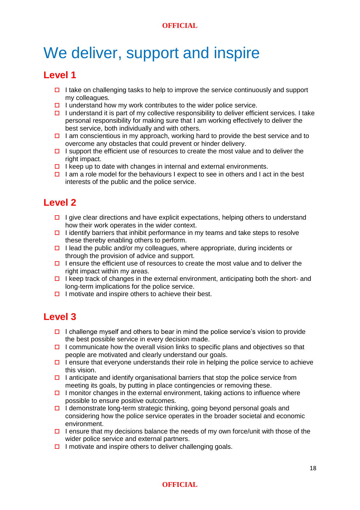## We deliver, support and inspire

### **Level 1**

- I take on challenging tasks to help to improve the service continuously and support my colleagues.
- $\Box$  I understand how my work contributes to the wider police service.
- $\Box$  I understand it is part of my collective responsibility to deliver efficient services. I take personal responsibility for making sure that I am working effectively to deliver the best service, both individually and with others.
- $\Box$  I am conscientious in my approach, working hard to provide the best service and to overcome any obstacles that could prevent or hinder delivery.
- I support the efficient use of resources to create the most value and to deliver the right impact.
- $\Box$  I keep up to date with changes in internal and external environments.
- $\Box$  I am a role model for the behaviours I expect to see in others and I act in the best interests of the public and the police service.

### **Level 2**

- $\Box$  I give clear directions and have explicit expectations, helping others to understand how their work operates in the wider context.
- I identify barriers that inhibit performance in my teams and take steps to resolve these thereby enabling others to perform.
- $\Box$  I lead the public and/or my colleagues, where appropriate, during incidents or through the provision of advice and support.
- I ensure the efficient use of resources to create the most value and to deliver the right impact within my areas.
- $\Box$  I keep track of changes in the external environment, anticipating both the short- and long-term implications for the police service.
- $\Box$  I motivate and inspire others to achieve their best.

### **Level 3**

- I challenge myself and others to bear in mind the police service's vision to provide the best possible service in every decision made.
- I communicate how the overall vision links to specific plans and objectives so that people are motivated and clearly understand our goals.
- I ensure that everyone understands their role in helping the police service to achieve this vision.
- I anticipate and identify organisational barriers that stop the police service from meeting its goals, by putting in place contingencies or removing these.
- $\Box$  I monitor changes in the external environment, taking actions to influence where possible to ensure positive outcomes.
- $\Box$  I demonstrate long-term strategic thinking, going beyond personal goals and considering how the police service operates in the broader societal and economic environment.
- I ensure that my decisions balance the needs of my own force/unit with those of the wider police service and external partners.
- $\Box$  I motivate and inspire others to deliver challenging goals.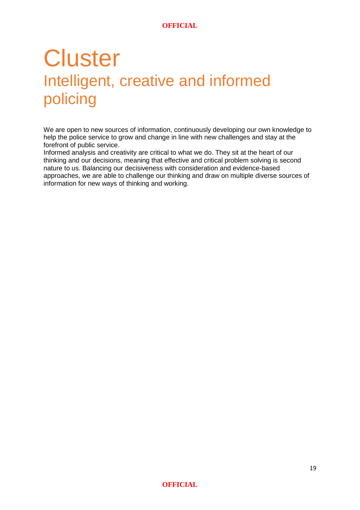## **Cluster** Intelligent, creative and informed policing

We are open to new sources of information, continuously developing our own knowledge to help the police service to grow and change in line with new challenges and stay at the forefront of public service.

Informed analysis and creativity are critical to what we do. They sit at the heart of our thinking and our decisions, meaning that effective and critical problem solving is second nature to us. Balancing our decisiveness with consideration and evidence-based approaches, we are able to challenge our thinking and draw on multiple diverse sources of information for new ways of thinking and working.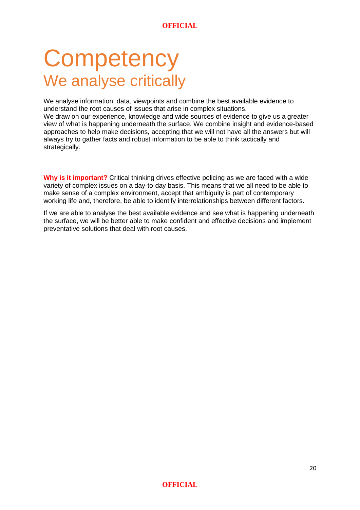## **Competency** We analyse critically

We analyse information, data, viewpoints and combine the best available evidence to understand the root causes of issues that arise in complex situations.

We draw on our experience, knowledge and wide sources of evidence to give us a greater view of what is happening underneath the surface. We combine insight and evidence-based approaches to help make decisions, accepting that we will not have all the answers but will always try to gather facts and robust information to be able to think tactically and strategically.

**Why is it important?** Critical thinking drives effective policing as we are faced with a wide variety of complex issues on a day-to-day basis. This means that we all need to be able to make sense of a complex environment, accept that ambiguity is part of contemporary working life and, therefore, be able to identify interrelationships between different factors.

If we are able to analyse the best available evidence and see what is happening underneath the surface, we will be better able to make confident and effective decisions and implement preventative solutions that deal with root causes.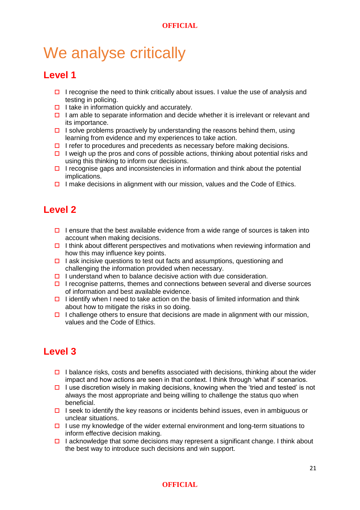### We analyse critically

### **Level 1**

- I recognise the need to think critically about issues. I value the use of analysis and testing in policing.
- $\Box$  I take in information quickly and accurately.
- $\Box$  I am able to separate information and decide whether it is irrelevant or relevant and its importance.
- I solve problems proactively by understanding the reasons behind them, using learning from evidence and my experiences to take action.
- $\Box$  I refer to procedures and precedents as necessary before making decisions.
- $\Box$  I weigh up the pros and cons of possible actions, thinking about potential risks and using this thinking to inform our decisions.
- $\Box$  I recognise gaps and inconsistencies in information and think about the potential implications.
- $\Box$  I make decisions in alignment with our mission, values and the Code of Ethics.

### **Level 2**

- I ensure that the best available evidence from a wide range of sources is taken into account when making decisions.
- $\Box$  I think about different perspectives and motivations when reviewing information and how this may influence key points.
- $\Box$  I ask incisive questions to test out facts and assumptions, questioning and challenging the information provided when necessary.
- $\Box$  I understand when to balance decisive action with due consideration.
- $\Box$  I recognise patterns, themes and connections between several and diverse sources of information and best available evidence.
- I identify when I need to take action on the basis of limited information and think about how to mitigate the risks in so doing.
- $\Box$  I challenge others to ensure that decisions are made in alignment with our mission, values and the Code of Ethics.

### **Level 3**

- $\Box$  I balance risks, costs and benefits associated with decisions, thinking about the wider impact and how actions are seen in that context. I think through 'what if' scenarios.
- $\Box$  I use discretion wisely in making decisions, knowing when the 'tried and tested' is not always the most appropriate and being willing to challenge the status quo when beneficial.
- I seek to identify the key reasons or incidents behind issues, even in ambiguous or unclear situations.
- $\Box$  I use my knowledge of the wider external environment and long-term situations to inform effective decision making.
- $\Box$  I acknowledge that some decisions may represent a significant change. I think about the best way to introduce such decisions and win support.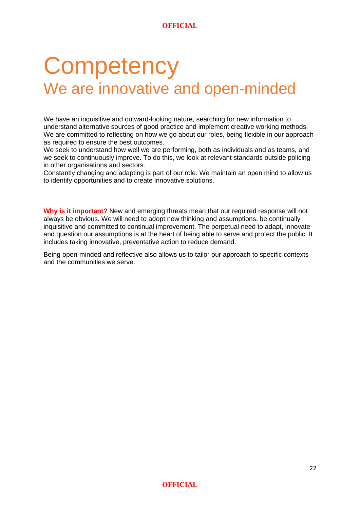## **Competency** We are innovative and open-minded

We have an inquisitive and outward-looking nature, searching for new information to understand alternative sources of good practice and implement creative working methods. We are committed to reflecting on how we go about our roles, being flexible in our approach as required to ensure the best outcomes.

We seek to understand how well we are performing, both as individuals and as teams, and we seek to continuously improve. To do this, we look at relevant standards outside policing in other organisations and sectors.

Constantly changing and adapting is part of our role. We maintain an open mind to allow us to identify opportunities and to create innovative solutions.

**Why is it important?** New and emerging threats mean that our required response will not always be obvious. We will need to adopt new thinking and assumptions, be continually inquisitive and committed to continual improvement. The perpetual need to adapt, innovate and question our assumptions is at the heart of being able to serve and protect the public. It includes taking innovative, preventative action to reduce demand.

Being open-minded and reflective also allows us to tailor our approach to specific contexts and the communities we serve.